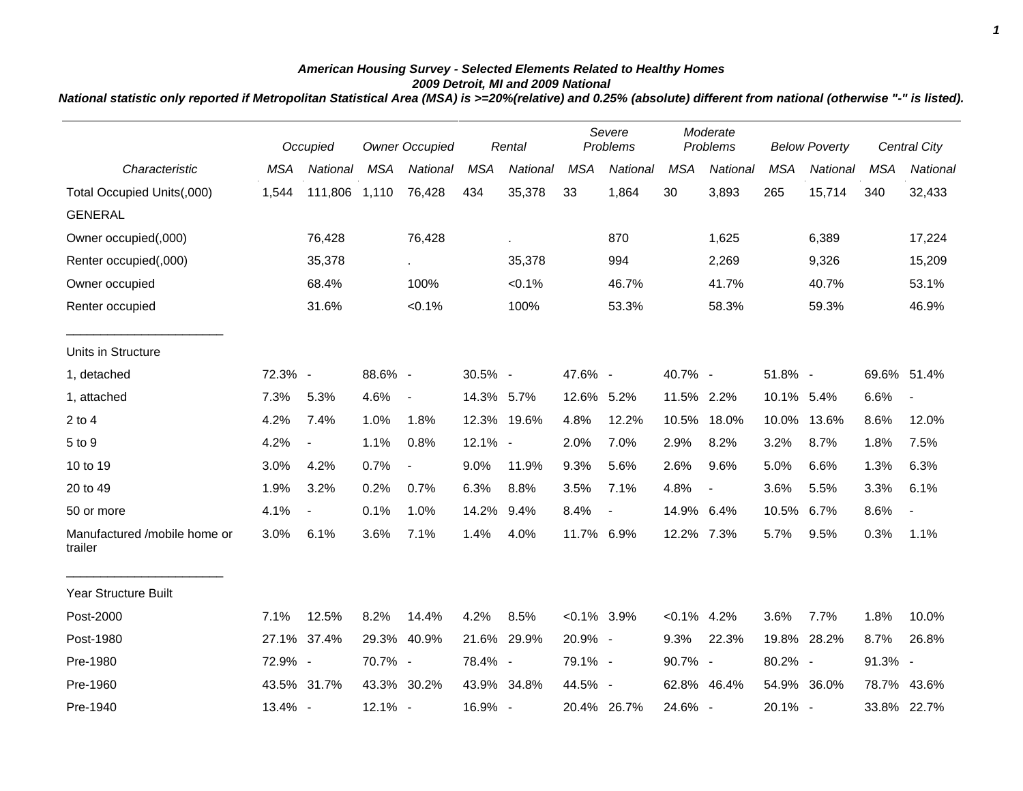## *American Housing Survey - Selected Elements Related to Healthy Homes 2009 Detroit, MI and 2009 National*

*National statistic only reported if Metropolitan Statistical Area (MSA) is >=20%(relative) and 0.25% (absolute) different from national (otherwise "-" is listed).*

|                                         | Occupied   |                          | <b>Owner Occupied</b><br>Rental |                          |            |             |                | Severe<br>Moderate<br>Problems<br>Problems |                |                          | <b>Below Poverty</b> |             | <b>Central City</b> |                          |
|-----------------------------------------|------------|--------------------------|---------------------------------|--------------------------|------------|-------------|----------------|--------------------------------------------|----------------|--------------------------|----------------------|-------------|---------------------|--------------------------|
| Characteristic                          | <b>MSA</b> | National                 | <b>MSA</b>                      | National                 | <b>MSA</b> | National    | <b>MSA</b>     | National                                   | <b>MSA</b>     | National                 | <b>MSA</b>           | National    | <b>MSA</b>          | National                 |
| Total Occupied Units(,000)              | 1,544      | 111,806                  | 1,110                           | 76,428                   | 434        | 35,378      | 33             | 1,864                                      | 30             | 3,893                    | 265                  | 15,714      | 340                 | 32,433                   |
| <b>GENERAL</b>                          |            |                          |                                 |                          |            |             |                |                                            |                |                          |                      |             |                     |                          |
| Owner occupied(,000)                    |            | 76,428                   |                                 | 76,428                   |            | à.          |                | 870                                        |                | 1,625                    |                      | 6,389       |                     | 17,224                   |
| Renter occupied(,000)                   |            | 35,378                   |                                 | $\sim$                   |            | 35,378      |                | 994                                        |                | 2,269                    |                      | 9,326       |                     | 15,209                   |
| Owner occupied                          |            | 68.4%                    |                                 | 100%                     |            | $< 0.1\%$   |                | 46.7%                                      |                | 41.7%                    |                      | 40.7%       |                     | 53.1%                    |
| Renter occupied                         |            | 31.6%                    |                                 | $< 0.1\%$                |            | 100%        |                | 53.3%                                      |                | 58.3%                    |                      | 59.3%       |                     | 46.9%                    |
| Units in Structure                      |            |                          |                                 |                          |            |             |                |                                            |                |                          |                      |             |                     |                          |
| 1, detached                             | 72.3% -    |                          | 88.6% -                         |                          | 30.5% -    |             | 47.6% -        |                                            | 40.7% -        |                          | 51.8% -              |             | 69.6% 51.4%         |                          |
| 1, attached                             | 7.3%       | 5.3%                     | 4.6%                            | $\sim$                   | 14.3% 5.7% |             | 12.6% 5.2%     |                                            | 11.5% 2.2%     |                          | 10.1% 5.4%           |             | 6.6%                | $\blacksquare$           |
| $2$ to $4$                              | 4.2%       | 7.4%                     | 1.0%                            | 1.8%                     |            | 12.3% 19.6% | 4.8%           | 12.2%                                      | 10.5%          | 18.0%                    | 10.0%                | 13.6%       | 8.6%                | 12.0%                    |
| 5 to 9                                  | 4.2%       | $\overline{\phantom{a}}$ | 1.1%                            | 0.8%                     | 12.1% -    |             | 2.0%           | 7.0%                                       | 2.9%           | 8.2%                     | 3.2%                 | 8.7%        | 1.8%                | 7.5%                     |
| 10 to 19                                | 3.0%       | 4.2%                     | 0.7%                            | $\overline{\phantom{a}}$ | 9.0%       | 11.9%       | 9.3%           | 5.6%                                       | 2.6%           | 9.6%                     | 5.0%                 | 6.6%        | 1.3%                | 6.3%                     |
| 20 to 49                                | 1.9%       | 3.2%                     | 0.2%                            | 0.7%                     | 6.3%       | 8.8%        | 3.5%           | 7.1%                                       | 4.8%           | $\overline{\phantom{a}}$ | 3.6%                 | 5.5%        | 3.3%                | 6.1%                     |
| 50 or more                              | 4.1%       | $\overline{\phantom{a}}$ | 0.1%                            | 1.0%                     | 14.2%      | 9.4%        | 8.4%           | $\blacksquare$                             | 14.9%          | 6.4%                     | 10.5%                | 6.7%        | 8.6%                | $\overline{\phantom{a}}$ |
| Manufactured /mobile home or<br>trailer | 3.0%       | 6.1%                     | 3.6%                            | 7.1%                     | 1.4%       | 4.0%        | 11.7%          | 6.9%                                       | 12.2% 7.3%     |                          | 5.7%                 | 9.5%        | 0.3%                | 1.1%                     |
| <b>Year Structure Built</b>             |            |                          |                                 |                          |            |             |                |                                            |                |                          |                      |             |                     |                          |
| Post-2000                               | 7.1%       | 12.5%                    | 8.2%                            | 14.4%                    | 4.2%       | 8.5%        | $< 0.1\%$ 3.9% |                                            | $< 0.1\%$ 4.2% |                          | 3.6%                 | 7.7%        | 1.8%                | 10.0%                    |
| Post-1980                               |            | 27.1% 37.4%              |                                 | 29.3% 40.9%              |            | 21.6% 29.9% | 20.9% -        |                                            | 9.3%           | 22.3%                    |                      | 19.8% 28.2% | 8.7%                | 26.8%                    |
| Pre-1980                                | 72.9% -    |                          | 70.7% -                         |                          | 78.4% -    |             | 79.1% -        |                                            | 90.7% -        |                          | 80.2% -              |             | 91.3% -             |                          |
| Pre-1960                                |            | 43.5% 31.7%              |                                 | 43.3% 30.2%              |            | 43.9% 34.8% | 44.5% -        |                                            |                | 62.8% 46.4%              |                      | 54.9% 36.0% | 78.7%               | 43.6%                    |
| Pre-1940                                | 13.4% -    |                          | 12.1% -                         |                          | 16.9% -    |             |                | 20.4% 26.7%                                | 24.6% -        |                          | 20.1% -              |             |                     | 33.8% 22.7%              |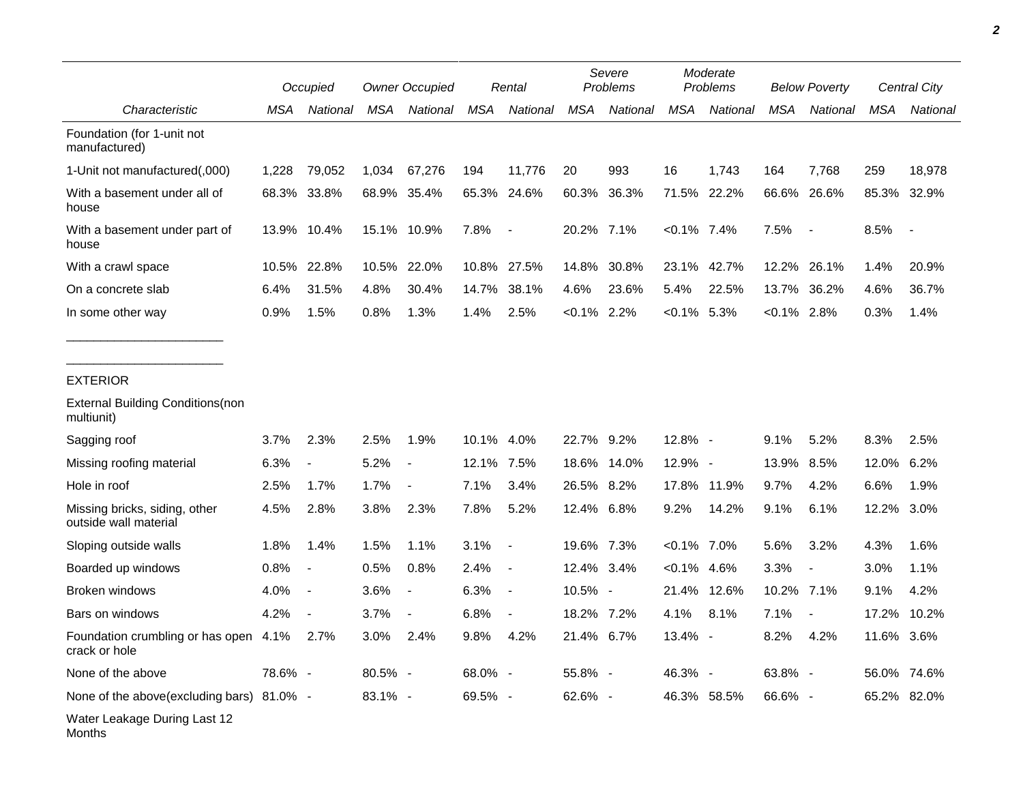|                                                        |         | Occupied                 |             | <b>Owner Occupied</b>    |            | Rental                   |                | Severe<br>Problems |                | Moderate<br>Problems |                | <b>Below Poverty</b>     |       | Central City             |  |
|--------------------------------------------------------|---------|--------------------------|-------------|--------------------------|------------|--------------------------|----------------|--------------------|----------------|----------------------|----------------|--------------------------|-------|--------------------------|--|
| Characteristic                                         | MSA     | National                 | MSA         | National                 | MSA        | National                 | MSA            | National           | MSA            | National             | MSA            | National                 | MSA   | National                 |  |
| Foundation (for 1-unit not<br>manufactured)            |         |                          |             |                          |            |                          |                |                    |                |                      |                |                          |       |                          |  |
| 1-Unit not manufactured(,000)                          | 1,228   | 79,052                   | 1,034       | 67,276                   | 194        | 11,776                   | 20             | 993                | 16             | 1,743                | 164            | 7,768                    | 259   | 18.978                   |  |
| With a basement under all of<br>house                  | 68.3%   | 33.8%                    | 68.9% 35.4% |                          |            | 65.3% 24.6%              | 60.3%          | 36.3%              | 71.5%          | 22.2%                |                | 66.6% 26.6%              | 85.3% | 32.9%                    |  |
| With a basement under part of<br>house                 |         | 13.9% 10.4%              |             | 15.1% 10.9%              | 7.8%       | $\overline{\phantom{a}}$ | 20.2% 7.1%     |                    | $< 0.1\%$ 7.4% |                      | 7.5%           |                          | 8.5%  | $\overline{\phantom{a}}$ |  |
| With a crawl space                                     | 10.5%   | 22.8%                    |             | 10.5% 22.0%              |            | 10.8% 27.5%              | 14.8%          | 30.8%              | 23.1%          | 42.7%                | 12.2%          | 26.1%                    | 1.4%  | 20.9%                    |  |
| On a concrete slab                                     | 6.4%    | 31.5%                    | 4.8%        | 30.4%                    | 14.7%      | 38.1%                    | 4.6%           | 23.6%              | 5.4%           | 22.5%                | 13.7%          | 36.2%                    | 4.6%  | 36.7%                    |  |
| In some other way                                      | 0.9%    | 1.5%                     | 0.8%        | 1.3%                     | 1.4%       | 2.5%                     | $< 0.1\%$ 2.2% |                    | $<0.1\%$ 5.3%  |                      | $< 0.1\%$ 2.8% |                          | 0.3%  | 1.4%                     |  |
|                                                        |         |                          |             |                          |            |                          |                |                    |                |                      |                |                          |       |                          |  |
| <b>EXTERIOR</b>                                        |         |                          |             |                          |            |                          |                |                    |                |                      |                |                          |       |                          |  |
| <b>External Building Conditions (non</b><br>multiunit) |         |                          |             |                          |            |                          |                |                    |                |                      |                |                          |       |                          |  |
| Sagging roof                                           | 3.7%    | 2.3%                     | 2.5%        | 1.9%                     | 10.1% 4.0% |                          | 22.7% 9.2%     |                    | 12.8% -        |                      | 9.1%           | 5.2%                     | 8.3%  | 2.5%                     |  |
| Missing roofing material                               | 6.3%    | $\overline{a}$           | 5.2%        |                          | 12.1% 7.5% |                          |                | 18.6% 14.0%        | $12.9\%$ -     |                      | 13.9% 8.5%     |                          | 12.0% | 6.2%                     |  |
| Hole in roof                                           | 2.5%    | 1.7%                     | 1.7%        | $\overline{\phantom{a}}$ | 7.1%       | 3.4%                     | 26.5%          | 8.2%               | 17.8%          | 11.9%                | 9.7%           | 4.2%                     | 6.6%  | 1.9%                     |  |
| Missing bricks, siding, other<br>outside wall material | 4.5%    | 2.8%                     | 3.8%        | 2.3%                     | 7.8%       | 5.2%                     | 12.4% 6.8%     |                    | 9.2%           | 14.2%                | 9.1%           | 6.1%                     | 12.2% | 3.0%                     |  |
| Sloping outside walls                                  | 1.8%    | 1.4%                     | 1.5%        | 1.1%                     | 3.1%       | $\overline{a}$           | 19.6% 7.3%     |                    | $< 0.1\%$ 7.0% |                      | 5.6%           | 3.2%                     | 4.3%  | 1.6%                     |  |
| Boarded up windows                                     | 0.8%    | $\blacksquare$           | 0.5%        | 0.8%                     | 2.4%       | $\overline{\phantom{a}}$ | 12.4% 3.4%     |                    | $< 0.1\%$      | 4.6%                 | 3.3%           | $\blacksquare$           | 3.0%  | 1.1%                     |  |
| <b>Broken windows</b>                                  | 4.0%    | $\overline{\phantom{a}}$ | 3.6%        |                          | 6.3%       | $\overline{\phantom{a}}$ | 10.5% -        |                    | 21.4%          | 12.6%                | 10.2% 7.1%     |                          | 9.1%  | 4.2%                     |  |
| Bars on windows                                        | 4.2%    | $\overline{\phantom{a}}$ | 3.7%        | $\overline{\phantom{a}}$ | 6.8%       | $\blacksquare$           | 18.2% 7.2%     |                    | 4.1%           | 8.1%                 | 7.1%           | $\overline{\phantom{a}}$ | 17.2% | 10.2%                    |  |
| Foundation crumbling or has open<br>crack or hole      | 4.1%    | 2.7%                     | 3.0%        | 2.4%                     | 9.8%       | 4.2%                     | 21.4% 6.7%     |                    | $13.4\%$ -     |                      | 8.2%           | 4.2%                     | 11.6% | 3.6%                     |  |
| None of the above                                      | 78.6% - |                          | $80.5\%$ -  |                          | 68.0% -    |                          | 55.8% -        |                    | 46.3% -        |                      | 63.8% -        |                          | 56.0% | 74.6%                    |  |
| None of the above (excluding bars) $81.0\%$ -          |         |                          | $83.1\% -$  |                          | 69.5% -    |                          | 62.6% -        |                    |                | 46.3% 58.5%          | 66.6% -        |                          | 65.2% | 82.0%                    |  |
| Water Leakage During Last 12                           |         |                          |             |                          |            |                          |                |                    |                |                      |                |                          |       |                          |  |

Months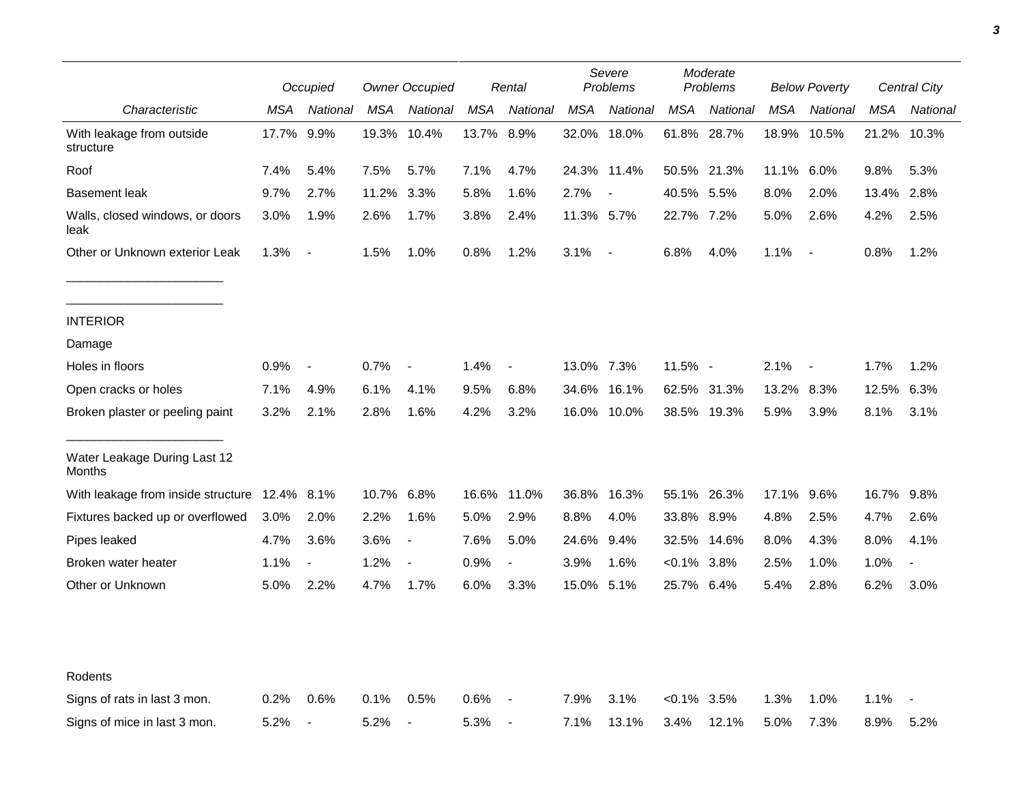|                                         |            | Occupied                 |            | <b>Owner Occupied</b> |            | Rental                   |            | Severe<br>Problems       |                | Moderate<br>Problems |            | <b>Below Poverty</b> |            | Central City   |
|-----------------------------------------|------------|--------------------------|------------|-----------------------|------------|--------------------------|------------|--------------------------|----------------|----------------------|------------|----------------------|------------|----------------|
| Characteristic                          | MSA        | National                 | MSA        | National              | MSA        | National                 | <b>MSA</b> | National                 | <b>MSA</b>     | National             | <b>MSA</b> | National             | <b>MSA</b> | National       |
| With leakage from outside<br>structure  | 17.7%      | 9.9%                     |            | 19.3% 10.4%           | 13.7% 8.9% |                          |            | 32.0% 18.0%              |                | 61.8% 28.7%          | 18.9%      | 10.5%                |            | 21.2% 10.3%    |
| Roof                                    | 7.4%       | 5.4%                     | 7.5%       | 5.7%                  | 7.1%       | 4.7%                     |            | 24.3% 11.4%              |                | 50.5% 21.3%          | 11.1% 6.0% |                      | 9.8%       | 5.3%           |
| <b>Basement leak</b>                    | 9.7%       | 2.7%                     | 11.2%      | 3.3%                  | 5.8%       | 1.6%                     | 2.7%       | $\overline{\phantom{a}}$ | 40.5% 5.5%     |                      | 8.0%       | 2.0%                 | 13.4%      | 2.8%           |
| Walls, closed windows, or doors<br>leak | 3.0%       | 1.9%                     | 2.6%       | 1.7%                  | 3.8%       | 2.4%                     | 11.3% 5.7% |                          | 22.7% 7.2%     |                      | 5.0%       | 2.6%                 | 4.2%       | 2.5%           |
| Other or Unknown exterior Leak          | 1.3%       | $\blacksquare$           | 1.5%       | 1.0%                  | 0.8%       | 1.2%                     | 3.1%       | $\sim$                   | 6.8%           | 4.0%                 | 1.1%       | $\sim$ $-$           | 0.8%       | 1.2%           |
| <b>INTERIOR</b>                         |            |                          |            |                       |            |                          |            |                          |                |                      |            |                      |            |                |
| Damage                                  |            |                          |            |                       |            |                          |            |                          |                |                      |            |                      |            |                |
| Holes in floors                         | 0.9%       | $\overline{\phantom{a}}$ | 0.7%       | $\blacksquare$        | 1.4%       | $\overline{\phantom{a}}$ | 13.0% 7.3% |                          | 11.5% -        |                      | 2.1%       | $\overline{a}$       | 1.7%       | 1.2%           |
| Open cracks or holes                    | 7.1%       | 4.9%                     | 6.1%       | 4.1%                  | 9.5%       | 6.8%                     | 34.6%      | 16.1%                    |                | 62.5% 31.3%          | 13.2%      | 8.3%                 | 12.5%      | 6.3%           |
| Broken plaster or peeling paint         | 3.2%       | 2.1%                     | 2.8%       | 1.6%                  | 4.2%       | 3.2%                     |            | 16.0% 10.0%              |                | 38.5% 19.3%          | 5.9%       | 3.9%                 | 8.1%       | 3.1%           |
| Water Leakage During Last 12<br>Months  |            |                          |            |                       |            |                          |            |                          |                |                      |            |                      |            |                |
| With leakage from inside structure      | 12.4% 8.1% |                          | 10.7% 6.8% |                       | 16.6%      | 11.0%                    | 36.8%      | 16.3%                    |                | 55.1% 26.3%          | 17.1%      | 9.6%                 | 16.7% 9.8% |                |
| Fixtures backed up or overflowed        | 3.0%       | 2.0%                     | 2.2%       | 1.6%                  | 5.0%       | 2.9%                     | 8.8%       | 4.0%                     | 33.8% 8.9%     |                      | 4.8%       | 2.5%                 | 4.7%       | 2.6%           |
| Pipes leaked                            | 4.7%       | 3.6%                     | 3.6%       |                       | 7.6%       | 5.0%                     | 24.6%      | 9.4%                     | 32.5%          | 14.6%                | 8.0%       | 4.3%                 | 8.0%       | 4.1%           |
| Broken water heater                     | 1.1%       | $\overline{\phantom{a}}$ | 1.2%       |                       | 0.9%       | $\blacksquare$           | 3.9%       | 1.6%                     | $<0.1\%$ 3.8%  |                      | 2.5%       | 1.0%                 | 1.0%       | $\blacksquare$ |
| Other or Unknown                        | 5.0%       | 2.2%                     | 4.7%       | 1.7%                  | 6.0%       | 3.3%                     | 15.0% 5.1% |                          | 25.7% 6.4%     |                      | 5.4%       | 2.8%                 | 6.2%       | 3.0%           |
|                                         |            |                          |            |                       |            |                          |            |                          |                |                      |            |                      |            |                |
| Rodents                                 |            |                          |            |                       |            |                          |            |                          |                |                      |            |                      |            |                |
| Signs of rats in last 3 mon.            | 0.2%       | 0.6%                     | 0.1%       | 0.5%                  | 0.6%       | $\overline{\phantom{a}}$ | 7.9%       | 3.1%                     | $< 0.1\%$ 3.5% |                      | 1.3%       | 1.0%                 | 1.1%       |                |
| Signs of mice in last 3 mon.            | 5.2%       | $\overline{\phantom{a}}$ | 5.2%       | $\blacksquare$        | 5.3%       | $\overline{\phantom{a}}$ | 7.1%       | 13.1%                    | 3.4%           | 12.1%                | 5.0%       | 7.3%                 | 8.9%       | 5.2%           |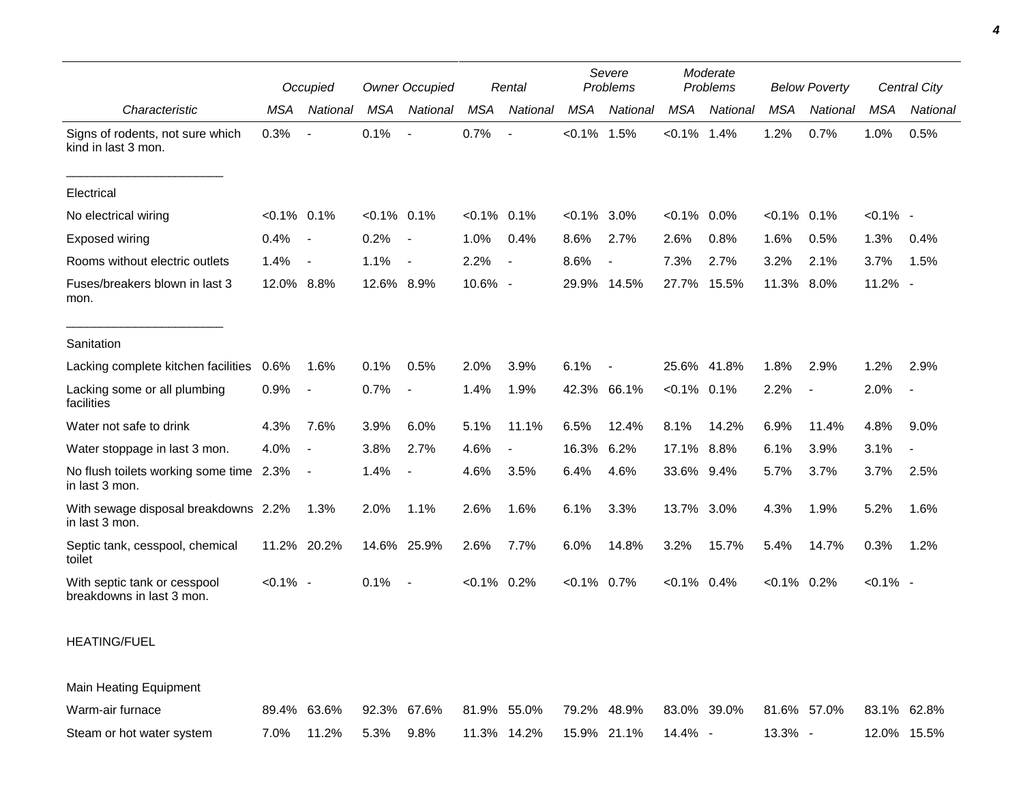|                                                           |                | Occupied                 |                | <b>Owner Occupied</b>    |                | Rental   |            | Severe<br>Problems       |                | Moderate<br>Problems |                | <b>Below Poverty</b> |             | Central City   |
|-----------------------------------------------------------|----------------|--------------------------|----------------|--------------------------|----------------|----------|------------|--------------------------|----------------|----------------------|----------------|----------------------|-------------|----------------|
| Characteristic                                            | <b>MSA</b>     | National                 | <b>MSA</b>     | National                 | <b>MSA</b>     | National | <b>MSA</b> | National                 | <b>MSA</b>     | National             | <b>MSA</b>     | National             | <b>MSA</b>  | National       |
| Signs of rodents, not sure which<br>kind in last 3 mon.   | 0.3%           | $\sim$                   | 0.1%           | $\overline{\phantom{a}}$ | 0.7%           |          | $< 0.1\%$  | 1.5%                     | $< 0.1\%$ 1.4% |                      | 1.2%           | 0.7%                 | 1.0%        | 0.5%           |
| Electrical                                                |                |                          |                |                          |                |          |            |                          |                |                      |                |                      |             |                |
| No electrical wiring                                      | $< 0.1\%$ 0.1% |                          | $< 0.1\%$ 0.1% |                          | $< 0.1\%$ 0.1% |          | $< 0.1\%$  | $3.0\%$                  | $<0.1\%$ 0.0%  |                      | $< 0.1\%$      | 0.1%                 | $< 0.1\%$ - |                |
| Exposed wiring                                            | 0.4%           | $\overline{\phantom{a}}$ | 0.2%           | $\sim$                   | 1.0%           | 0.4%     | 8.6%       | 2.7%                     | 2.6%           | 0.8%                 | 1.6%           | 0.5%                 | 1.3%        | 0.4%           |
| Rooms without electric outlets                            | 1.4%           | $\overline{\phantom{a}}$ | 1.1%           | $\sim$                   | 2.2%           |          | 8.6%       | $\overline{\phantom{a}}$ | 7.3%           | 2.7%                 | 3.2%           | 2.1%                 | 3.7%        | 1.5%           |
| Fuses/breakers blown in last 3<br>mon.                    | 12.0% 8.8%     |                          | 12.6% 8.9%     |                          | 10.6% -        |          | 29.9%      | 14.5%                    | 27.7%          | 15.5%                | 11.3%          | 8.0%                 | 11.2% -     |                |
| Sanitation                                                |                |                          |                |                          |                |          |            |                          |                |                      |                |                      |             |                |
| Lacking complete kitchen facilities                       | 0.6%           | 1.6%                     | 0.1%           | 0.5%                     | 2.0%           | 3.9%     | 6.1%       | $\overline{\phantom{a}}$ | 25.6% 41.8%    |                      | 1.8%           | 2.9%                 | 1.2%        | 2.9%           |
| Lacking some or all plumbing<br>facilities                | 0.9%           | $\overline{\phantom{a}}$ | 0.7%           | $\overline{\phantom{a}}$ | 1.4%           | 1.9%     | 42.3%      | 66.1%                    | $< 0.1\%$ 0.1% |                      | 2.2%           | $\blacksquare$       | 2.0%        | $\blacksquare$ |
| Water not safe to drink                                   | 4.3%           | 7.6%                     | 3.9%           | 6.0%                     | 5.1%           | 11.1%    | 6.5%       | 12.4%                    | 8.1%           | 14.2%                | 6.9%           | 11.4%                | 4.8%        | 9.0%           |
| Water stoppage in last 3 mon.                             | 4.0%           | $\overline{\phantom{a}}$ | 3.8%           | 2.7%                     | 4.6%           |          | 16.3%      | 6.2%                     | 17.1%          | 8.8%                 | 6.1%           | 3.9%                 | 3.1%        |                |
| No flush toilets working some time 2.3%<br>in last 3 mon. |                | $\overline{\phantom{a}}$ | 1.4%           |                          | 4.6%           | 3.5%     | 6.4%       | 4.6%                     | 33.6% 9.4%     |                      | 5.7%           | 3.7%                 | 3.7%        | 2.5%           |
| With sewage disposal breakdowns 2.2%<br>in last 3 mon.    |                | 1.3%                     | 2.0%           | 1.1%                     | 2.6%           | 1.6%     | 6.1%       | 3.3%                     | 13.7% 3.0%     |                      | 4.3%           | 1.9%                 | 5.2%        | 1.6%           |
| Septic tank, cesspool, chemical<br>toilet                 | 11.2%          | 20.2%                    |                | 14.6% 25.9%              | 2.6%           | 7.7%     | 6.0%       | 14.8%                    | 3.2%           | 15.7%                | 5.4%           | 14.7%                | 0.3%        | 1.2%           |
| With septic tank or cesspool<br>breakdowns in last 3 mon. | $< 0.1\%$ -    |                          | 0.1%           | $\sim$                   | $< 0.1\%$ 0.2% |          | $< 0.1\%$  | $0.7\%$                  | $< 0.1\%$ 0.4% |                      | $< 0.1\%$ 0.2% |                      | $< 0.1\%$ - |                |

## HEATING/FUEL

Main Heating Equipment

| Warm-air furnace          |  |  |  |  | 89.4% 63.6% 92.3% 67.6% 81.9% 55.0% 79.2% 48.9% 83.0% 39.0% 81.6% 57.0% 83.1% 62.8% |         |             |  |
|---------------------------|--|--|--|--|-------------------------------------------------------------------------------------|---------|-------------|--|
| Steam or hot water system |  |  |  |  | 7.0%  11.2%  5.3%  9.8%  11.3%  14.2%  15.9%  21.1%  14.4%  -                       | 13.3% - | 12.0% 15.5% |  |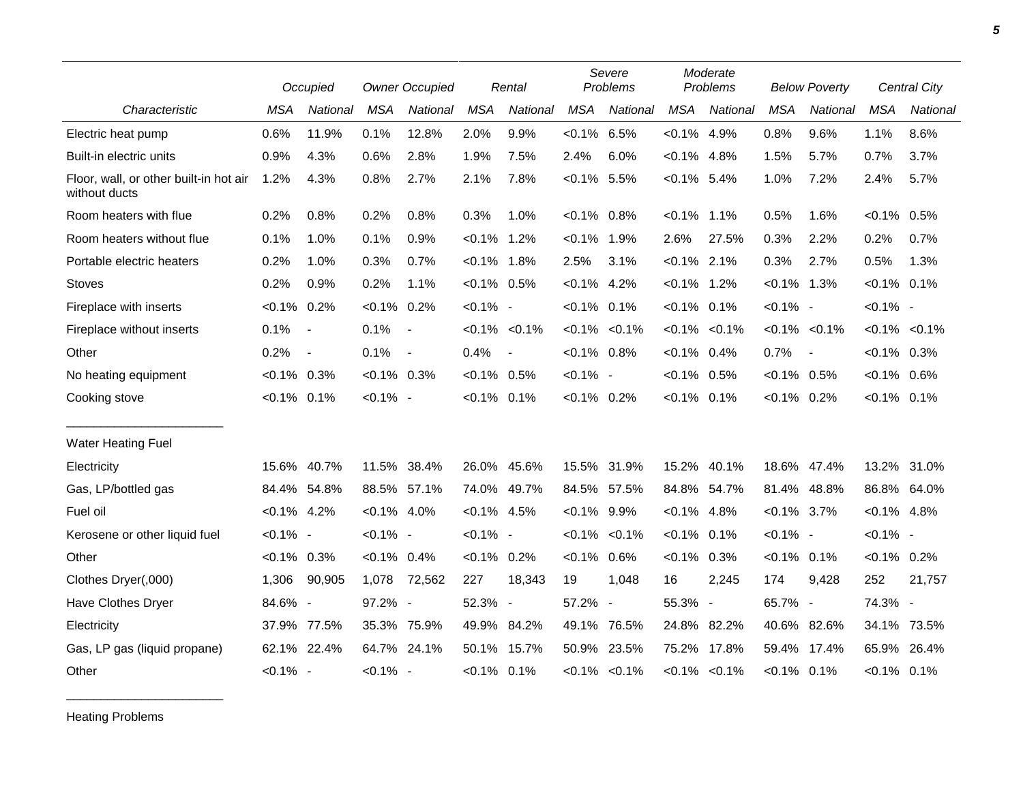|                                                         |                | Occupied                 |                | <b>Owner Occupied</b> |                | Rental            |                   | Severe<br>Problems  |                | Moderate<br>Problems |                | <b>Below Poverty</b>     |                | Central City        |
|---------------------------------------------------------|----------------|--------------------------|----------------|-----------------------|----------------|-------------------|-------------------|---------------------|----------------|----------------------|----------------|--------------------------|----------------|---------------------|
| Characteristic                                          | <b>MSA</b>     | National                 | <b>MSA</b>     | National              | <b>MSA</b>     | National          | <b>MSA</b>        | National            | <b>MSA</b>     | National             | <b>MSA</b>     | National                 | <b>MSA</b>     | <b>National</b>     |
| Electric heat pump                                      | 0.6%           | 11.9%                    | 0.1%           | 12.8%                 | 2.0%           | 9.9%              | $< 0.1\%$ 6.5%    |                     | $< 0.1\%$ 4.9% |                      | 0.8%           | 9.6%                     | 1.1%           | 8.6%                |
| Built-in electric units                                 | 0.9%           | 4.3%                     | 0.6%           | 2.8%                  | 1.9%           | 7.5%              | 2.4%              | 6.0%                | $< 0.1\%$ 4.8% |                      | 1.5%           | 5.7%                     | 0.7%           | 3.7%                |
| Floor, wall, or other built-in hot air<br>without ducts | 1.2%           | 4.3%                     | 0.8%           | 2.7%                  | 2.1%           | 7.8%              | $< 0.1\%$ 5.5%    |                     | $< 0.1\%$ 5.4% |                      | 1.0%           | 7.2%                     | 2.4%           | 5.7%                |
| Room heaters with flue                                  | 0.2%           | 0.8%                     | 0.2%           | 0.8%                  | 0.3%           | 1.0%              | $< 0.1\%$ 0.8%    |                     | $< 0.1\%$      | $1.1\%$              | 0.5%           | 1.6%                     | $< 0.1\%$ 0.5% |                     |
| Room heaters without flue                               | 0.1%           | 1.0%                     | 0.1%           | 0.9%                  | $< 0.1\%$ 1.2% |                   | $< 0.1\%$ 1.9%    |                     | 2.6%           | 27.5%                | 0.3%           | 2.2%                     | 0.2%           | 0.7%                |
| Portable electric heaters                               | 0.2%           | 1.0%                     | 0.3%           | 0.7%                  | $< 0.1\%$ 1.8% |                   | 2.5%              | 3.1%                | $< 0.1\%$ 2.1% |                      | 0.3%           | 2.7%                     | 0.5%           | 1.3%                |
| <b>Stoves</b>                                           | 0.2%           | 0.9%                     | 0.2%           | 1.1%                  | $< 0.1\%$ 0.5% |                   | $< 0.1\%$ 4.2%    |                     | $< 0.1\%$ 1.2% |                      | $< 0.1\%$ 1.3% |                          | $< 0.1\%$ 0.1% |                     |
| Fireplace with inserts                                  | $< 0.1\%$      | 0.2%                     | $< 0.1\%$      | 0.2%                  | $< 0.1\%$ -    |                   | $< 0.1\%$ 0.1%    |                     | $< 0.1\%$ 0.1% |                      | $< 0.1\%$ -    |                          | $< 0.1\%$ -    |                     |
| Fireplace without inserts                               | 0.1%           | $\overline{\phantom{a}}$ | 0.1%           | $\sim$ $-$            |                | $< 0.1\% < 0.1\%$ |                   | $< 0.1\%$ $< 0.1\%$ |                | $< 0.1\%$ $< 0.1\%$  |                | $< 0.1\% < 0.1\%$        |                | $< 0.1\%$ $< 0.1\%$ |
| Other                                                   | 0.2%           | $\overline{\phantom{a}}$ | 0.1%           | $\sim$                | 0.4%           |                   | $< 0.1\%$ 0.8%    |                     | $< 0.1\%$ 0.4% |                      | 0.7%           | $\overline{\phantom{a}}$ | $< 0.1\%$ 0.3% |                     |
| No heating equipment                                    | $< 0.1\%$ 0.3% |                          | $< 0.1\%$ 0.3% |                       | $< 0.1\%$ 0.5% |                   | $< 0.1\%$ -       |                     | $< 0.1\%$ 0.5% |                      | $< 0.1\%$ 0.5% |                          | $< 0.1\%$ 0.6% |                     |
| Cooking stove                                           | $< 0.1\%$ 0.1% |                          | $< 0.1\%$ -    |                       | $< 0.1\%$ 0.1% |                   | $< 0.1\%$ 0.2%    |                     | $< 0.1\%$ 0.1% |                      | $< 0.1\%$ 0.2% |                          | $< 0.1\%$ 0.1% |                     |
| <b>Water Heating Fuel</b>                               |                |                          |                |                       |                |                   |                   |                     |                |                      |                |                          |                |                     |
| Electricity                                             | 15.6%          | 40.7%                    | 11.5% 38.4%    |                       |                | 26.0% 45.6%       | 15.5%             | 31.9%               | 15.2%          | 40.1%                |                | 18.6% 47.4%              |                | 13.2% 31.0%         |
| Gas, LP/bottled gas                                     | 84.4%          | 54.8%                    | 88.5% 57.1%    |                       |                | 74.0% 49.7%       | 84.5% 57.5%       |                     | 84.8% 54.7%    |                      |                | 81.4% 48.8%              |                | 86.8% 64.0%         |
| Fuel oil                                                | $< 0.1\%$ 4.2% |                          | $< 0.1\%$ 4.0% |                       | $< 0.1\%$ 4.5% |                   | $< 0.1\%$ 9.9%    |                     | $< 0.1\%$ 4.8% |                      | $< 0.1\%$ 3.7% |                          | $< 0.1\%$ 4.8% |                     |
| Kerosene or other liquid fuel                           | $< 0.1\%$ -    |                          | $< 0.1\%$ -    |                       | $< 0.1\%$ -    |                   | $< 0.1\% < 0.1\%$ |                     | $< 0.1\%$ 0.1% |                      | $< 0.1\%$ -    |                          | $< 0.1\%$ -    |                     |
| Other                                                   | $< 0.1\%$      | 0.3%                     | $< 0.1\%$ 0.4% |                       | $< 0.1\%$ 0.2% |                   | $< 0.1\%$ 0.6%    |                     | $< 0.1\%$      | 0.3%                 | $< 0.1\%$ 0.1% |                          | $< 0.1\%$ 0.2% |                     |
| Clothes Dryer(,000)                                     | 1,306          | 90,905                   | 1,078          | 72,562                | 227            | 18,343            | 19                | 1,048               | 16             | 2,245                | 174            | 9,428                    | 252            | 21,757              |
| Have Clothes Dryer                                      | 84.6% -        |                          | 97.2% -        |                       | 52.3% -        |                   | 57.2%             | $\blacksquare$      | 55.3% -        |                      | 65.7% -        |                          | 74.3% -        |                     |
| Electricity                                             | 37.9%          | 77.5%                    | 35.3% 75.9%    |                       |                | 49.9% 84.2%       | 49.1%             | 76.5%               | 24.8%          | 82.2%                |                | 40.6% 82.6%              | 34.1%          | 73.5%               |
| Gas, LP gas (liquid propane)                            | 62.1%          | 22.4%                    | 64.7% 24.1%    |                       |                | 50.1% 15.7%       | 50.9%             | 23.5%               |                | 75.2% 17.8%          | 59.4%          | 17.4%                    | 65.9%          | 26.4%               |
| Other                                                   | $< 0.1\%$ -    |                          | $< 0.1\%$ -    |                       | $< 0.1\%$ 0.1% |                   |                   | $< 0.1\%$ $< 0.1\%$ |                | $< 0.1\%$ $< 0.1\%$  | $< 0.1\%$ 0.1% |                          | $< 0.1\%$ 0.1% |                     |

Heating Problems

\_\_\_\_\_\_\_\_\_\_\_\_\_\_\_\_\_\_\_\_\_\_\_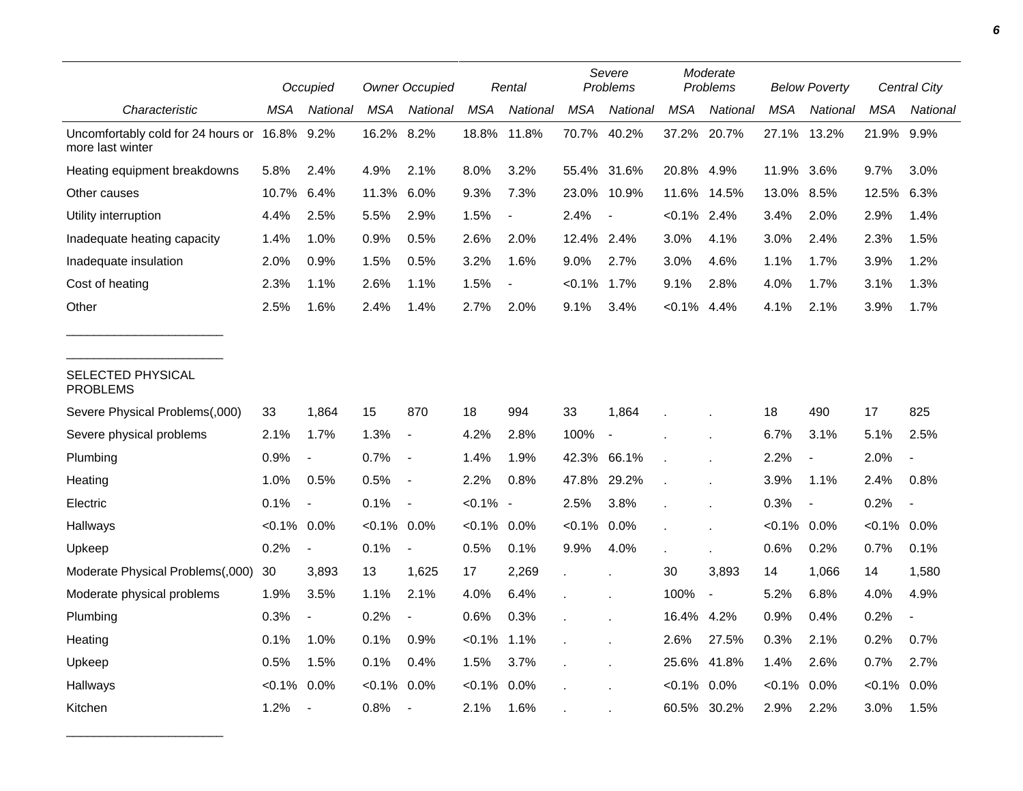|                                                        |                | Occupied                 |            | <b>Owner Occupied</b>    |             | Rental                   |             | Severe<br>Problems |                | Moderate<br>Problems |            | <b>Below Poverty</b> |            | <b>Central City</b> |
|--------------------------------------------------------|----------------|--------------------------|------------|--------------------------|-------------|--------------------------|-------------|--------------------|----------------|----------------------|------------|----------------------|------------|---------------------|
| Characteristic                                         | MSA            | National                 | <b>MSA</b> | National                 | <b>MSA</b>  | National                 | <b>MSA</b>  | National           | <b>MSA</b>     | National             | <b>MSA</b> | National             | <b>MSA</b> | National            |
| Uncomfortably cold for 24 hours or<br>more last winter | 16.8% 9.2%     |                          | 16.2%      | 8.2%                     | 18.8%       | 11.8%                    | 70.7%       | 40.2%              | 37.2%          | 20.7%                | 27.1%      | 13.2%                | 21.9% 9.9% |                     |
| Heating equipment breakdowns                           | 5.8%           | 2.4%                     | 4.9%       | 2.1%                     | 8.0%        | 3.2%                     | 55.4% 31.6% |                    | 20.8%          | 4.9%                 | 11.9%      | 3.6%                 | 9.7%       | 3.0%                |
| Other causes                                           | 10.7%          | 6.4%                     | 11.3%      | 6.0%                     | 9.3%        | 7.3%                     | 23.0%       | 10.9%              | 11.6%          | 14.5%                | 13.0%      | 8.5%                 | 12.5%      | 6.3%                |
| Utility interruption                                   | 4.4%           | 2.5%                     | 5.5%       | 2.9%                     | 1.5%        | $\overline{\phantom{a}}$ | 2.4%        |                    | $< 0.1\%$ 2.4% |                      | 3.4%       | 2.0%                 | 2.9%       | 1.4%                |
| Inadequate heating capacity                            | 1.4%           | 1.0%                     | 0.9%       | 0.5%                     | 2.6%        | 2.0%                     | 12.4% 2.4%  |                    | 3.0%           | 4.1%                 | 3.0%       | 2.4%                 | 2.3%       | 1.5%                |
| Inadequate insulation                                  | 2.0%           | 0.9%                     | 1.5%       | 0.5%                     | 3.2%        | 1.6%                     | $9.0\%$     | 2.7%               | 3.0%           | 4.6%                 | 1.1%       | 1.7%                 | 3.9%       | 1.2%                |
| Cost of heating                                        | 2.3%           | 1.1%                     | 2.6%       | 1.1%                     | 1.5%        |                          | $< 0.1\%$   | 1.7%               | 9.1%           | 2.8%                 | 4.0%       | 1.7%                 | 3.1%       | 1.3%                |
| Other                                                  | 2.5%           | 1.6%                     | 2.4%       | 1.4%                     | 2.7%        | 2.0%                     | 9.1%        | 3.4%               | $< 0.1\%$      | 4.4%                 | 4.1%       | 2.1%                 | 3.9%       | 1.7%                |
| SELECTED PHYSICAL<br><b>PROBLEMS</b>                   |                |                          |            |                          |             |                          |             |                    |                |                      |            |                      |            |                     |
| Severe Physical Problems(,000)                         | 33             | 1,864                    | 15         | 870                      | 18          | 994                      | 33          | 1,864              |                |                      | 18         | 490                  | 17         | 825                 |
| Severe physical problems                               | 2.1%           | 1.7%                     | 1.3%       | $\blacksquare$           | 4.2%        | 2.8%                     | 100%        | $\sim$             |                |                      | 6.7%       | 3.1%                 | 5.1%       | 2.5%                |
| Plumbing                                               | 0.9%           |                          | 0.7%       | $\overline{\phantom{a}}$ | 1.4%        | 1.9%                     | 42.3% 66.1% |                    |                |                      | 2.2%       |                      | 2.0%       |                     |
| Heating                                                | 1.0%           | 0.5%                     | 0.5%       | $\blacksquare$           | 2.2%        | 0.8%                     | 47.8%       | 29.2%              |                |                      | 3.9%       | 1.1%                 | 2.4%       | 0.8%                |
| Electric                                               | 0.1%           | $\blacksquare$           | 0.1%       | $\overline{\phantom{a}}$ | $< 0.1\%$ - |                          | 2.5%        | 3.8%               |                |                      | 0.3%       | $\blacksquare$       | 0.2%       |                     |
| Hallways                                               | $< 0.1\%$ 0.0% |                          | $< 0.1\%$  | 0.0%                     | $< 0.1\%$   | 0.0%                     | $< 0.1\%$   | 0.0%               |                |                      | $< 0.1\%$  | 0.0%                 | $< 0.1\%$  | $0.0\%$             |
| Upkeep                                                 | 0.2%           | $\blacksquare$           | 0.1%       | $\blacksquare$           | 0.5%        | 0.1%                     | 9.9%        | 4.0%               |                |                      | 0.6%       | 0.2%                 | 0.7%       | 0.1%                |
| Moderate Physical Problems(,000)                       | 30             | 3,893                    | 13         | 1,625                    | 17          | 2,269                    |             |                    | 30             | 3,893                | 14         | 1,066                | 14         | 1,580               |
| Moderate physical problems                             | 1.9%           | 3.5%                     | 1.1%       | 2.1%                     | 4.0%        | 6.4%                     |             |                    | 100%           | $\blacksquare$       | 5.2%       | 6.8%                 | 4.0%       | 4.9%                |
| Plumbing                                               | 0.3%           |                          | 0.2%       |                          | 0.6%        | 0.3%                     |             |                    | 16.4%          | 4.2%                 | 0.9%       | 0.4%                 | 0.2%       |                     |
| Heating                                                | 0.1%           | 1.0%                     | 0.1%       | 0.9%                     | $< 0.1\%$   | 1.1%                     |             |                    | 2.6%           | 27.5%                | 0.3%       | 2.1%                 | 0.2%       | 0.7%                |
| Upkeep                                                 | 0.5%           | 1.5%                     | 0.1%       | 0.4%                     | 1.5%        | 3.7%                     |             |                    | 25.6%          | 41.8%                | 1.4%       | 2.6%                 | 0.7%       | 2.7%                |
| Hallways                                               | $< 0.1\%$      | $0.0\%$                  | $< 0.1\%$  | 0.0%                     | $< 0.1\%$   | 0.0%                     |             |                    | $< 0.1\%$      | $0.0\%$              | $< 0.1\%$  | 0.0%                 | $< 0.1\%$  | $0.0\%$             |
| Kitchen                                                | 1.2%           | $\overline{\phantom{a}}$ | 0.8%       | $\overline{\phantom{a}}$ | 2.1%        | 1.6%                     |             |                    | 60.5%          | 30.2%                | 2.9%       | 2.2%                 | 3.0%       | 1.5%                |

\_\_\_\_\_\_\_\_\_\_\_\_\_\_\_\_\_\_\_\_\_\_\_